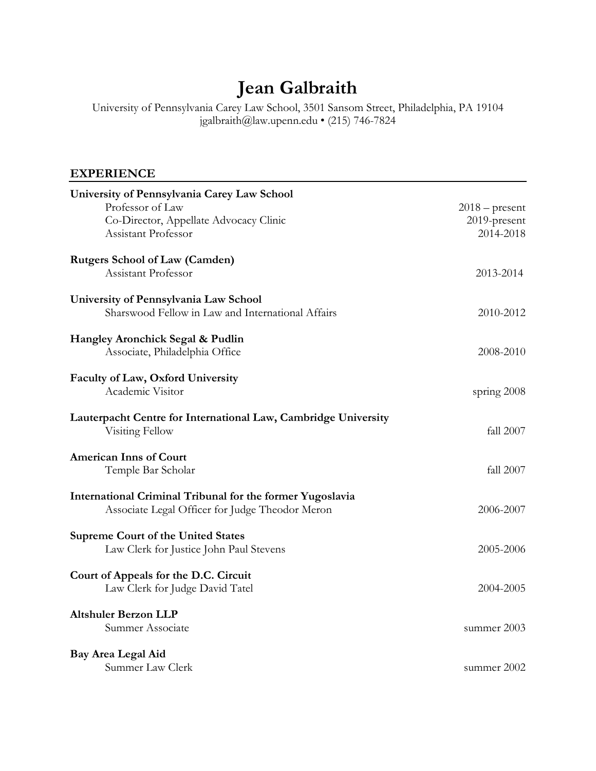# **Jean Galbraith**

University of Pennsylvania Carey Law School, 3501 Sansom Street, Philadelphia, PA 19104 jgalbraith@law.upenn.edu • (215) 746-7824

## **EXPERIENCE**

| University of Pennsylvania Carey Law School                                                                  |                  |
|--------------------------------------------------------------------------------------------------------------|------------------|
| Professor of Law                                                                                             | $2018$ – present |
| Co-Director, Appellate Advocacy Clinic                                                                       | 2019-present     |
| Assistant Professor                                                                                          | 2014-2018        |
| <b>Rutgers School of Law (Camden)</b>                                                                        |                  |
| Assistant Professor                                                                                          | 2013-2014        |
| University of Pennsylvania Law School                                                                        |                  |
| Sharswood Fellow in Law and International Affairs                                                            | 2010-2012        |
|                                                                                                              |                  |
| Hangley Aronchick Segal & Pudlin                                                                             |                  |
| Associate, Philadelphia Office                                                                               | 2008-2010        |
| Faculty of Law, Oxford University                                                                            |                  |
| Academic Visitor                                                                                             | spring 2008      |
|                                                                                                              |                  |
| Lauterpacht Centre for International Law, Cambridge University                                               |                  |
| Visiting Fellow                                                                                              | fall 2007        |
| <b>American Inns of Court</b>                                                                                |                  |
| Temple Bar Scholar                                                                                           | fall 2007        |
|                                                                                                              |                  |
| International Criminal Tribunal for the former Yugoslavia<br>Associate Legal Officer for Judge Theodor Meron | 2006-2007        |
|                                                                                                              |                  |
| <b>Supreme Court of the United States</b>                                                                    |                  |
| Law Clerk for Justice John Paul Stevens                                                                      | 2005-2006        |
| Court of Appeals for the D.C. Circuit                                                                        |                  |
| Law Clerk for Judge David Tatel                                                                              | 2004-2005        |
|                                                                                                              |                  |
| <b>Altshuler Berzon LLP</b>                                                                                  |                  |
| Summer Associate                                                                                             | summer 2003      |
| Bay Area Legal Aid                                                                                           |                  |
| Summer Law Clerk                                                                                             | summer 2002      |
|                                                                                                              |                  |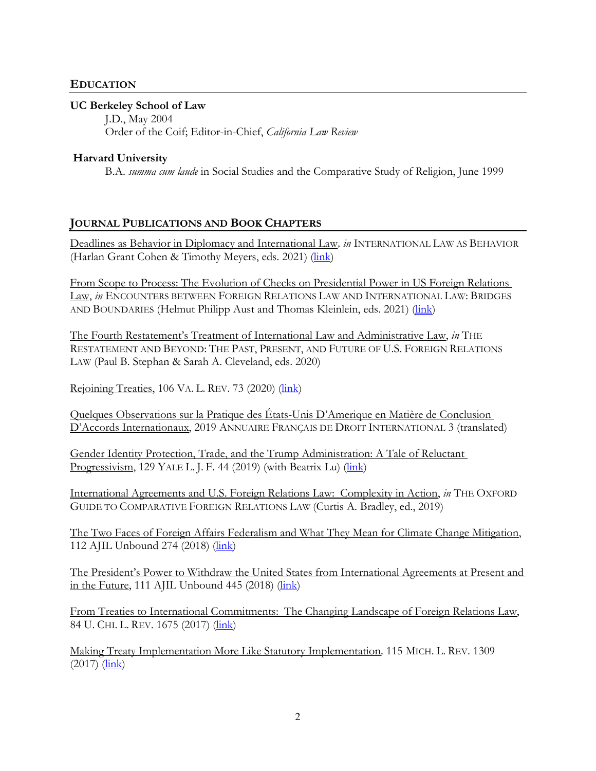### **EDUCATION**

#### **UC Berkeley School of Law**

J.D., May 2004 Order of the Coif; Editor-in-Chief, *California Law Review*

#### **Harvard University**

B.A. *summa cum laude* in Social Studies and the Comparative Study of Religion, June 1999

#### **JOURNAL PUBLICATIONS AND BOOK CHAPTERS**

Deadlines as Behavior in Diplomacy and International Law*, in* INTERNATIONAL LAW AS BEHAVIOR (Harlan Grant Cohen & Timothy Meyers, eds. 2021) (*link*)

From Scope to Process: The Evolution of Checks on Presidential Power in US Foreign Relations Law, *in* ENCOUNTERS BETWEEN FOREIGN RELATIONS LAW AND INTERNATIONAL LAW: BRIDGES AND BOUNDARIES (Helmut Philipp Aust and Thomas Kleinlein, eds. 2021) [\(link\)](https://www.cambridge.org/core/books/encounters-between-foreign-relations-law-and-international-law/from-scope-to-process/031BDE0F75928D4A396402468C16F3FC)

The Fourth Restatement's Treatment of International Law and Administrative Law, *in* THE RESTATEMENT AND BEYOND: THE PAST, PRESENT, AND FUTURE OF U.S. FOREIGN RELATIONS LAW (Paul B. Stephan & Sarah A. Cleveland, eds. 2020)

Rejoining Treaties, 106 VA. L. REV. 73 (2020) [\(link\)](https://www.virginialawreview.org/articles/rejoining-treaties/)

Quelques Observations sur la Pratique des États-Unis D'Amerique en Matière de Conclusion D'Accords Internationaux, 2019 ANNUAIRE FRANÇAIS DE DROIT INTERNATIONAL 3 (translated)

Gender Identity Protection, Trade, and the Trump Administration: A Tale of Reluctant Progressivism, 129 YALE L. J. F. 44 (2019) (with Beatrix Lu) [\(link\)](https://www.yalelawjournal.org/pdf/GalbraithLu_Gender-IdentityProtectionTradeandtheTrumpAdministration_c92gwxyj.pdf)

International Agreements and U.S. Foreign Relations Law: Complexity in Action, *in* THE OXFORD GUIDE TO COMPARATIVE FOREIGN RELATIONS LAW (Curtis A. Bradley, ed., 2019)

The Two Faces of Foreign Affairs Federalism and What They Mean for Climate Change Mitigation, 112 AJIL Unbound 274 (2018) [\(link\)](https://www.cambridge.org/core/journals/american-journal-of-international-law/article/two-faces-of-foreign-affairs-federalism-and-what-they-mean-for-climate-change-mitigation/A91E31B06B79AD8BE7EB78A213514CE6)

The President's Power to Withdraw the United States from International Agreements at Present and in the Future, 111 AJIL Unbound 445 (2018) [\(link\)](https://www.cambridge.org/core/services/aop-cambridge-core/content/view/0CBA97AFF0673758960A65ACE23EB5C0/S239877231700099Xa.pdf/presidents_power_to_withdraw_the_united_states_from_international_agreements_at_present_and_in_the_future.pdf)

From Treaties to International Commitments: The Changing Landscape of Foreign Relations Law, 84 U. CHI. L. REV. 1675 (2017) [\(link\)](https://papers.ssrn.com/sol3/papers.cfm?abstract_id=2933765)

Making Treaty Implementation More Like Statutory Implementation*,* 115 MICH. L. REV. 1309  $(2017)$   $(\frac{link}{\hbar})$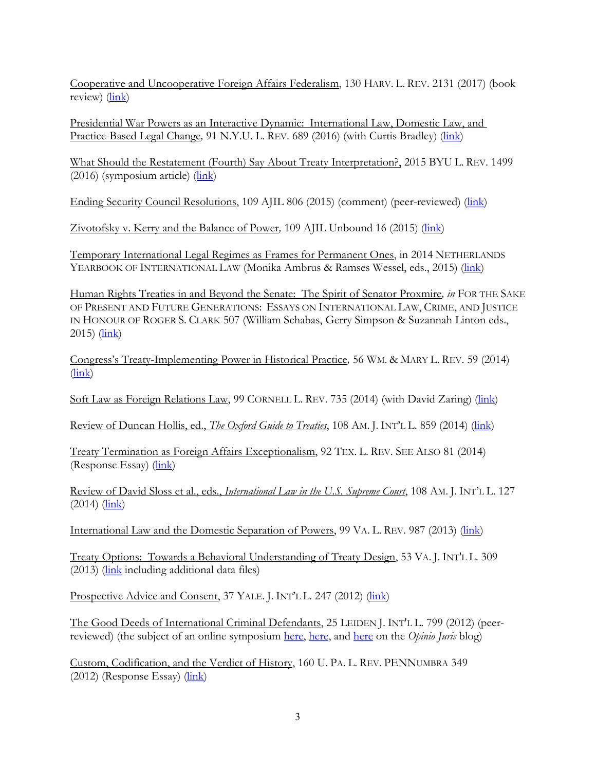Cooperative and Uncooperative Foreign Affairs Federalism, 130 HARV. L. REV. 2131 (2017) (book review) [\(link\)](https://papers.ssrn.com/sol3/papers.cfm?abstract_id=2999780)

Presidential War Powers as an Interactive Dynamic: International Law, Domestic Law, and Practice-Based Legal Change*,* 91 N.Y.U. L. REV. 689 (2016) (with Curtis Bradley) [\(link\)](https://papers.ssrn.com/sol3/papers.cfm?abstract_id=2691057)

What Should the Restatement (Fourth) Say About Treaty Interpretation?, 2015 BYU L. REV. 1499  $(2016)$  (symposium article)  $(\frac{link}{\)}$ 

Ending Security Council Resolutions, 109 AJIL 806 (2015) (comment) (peer-reviewed) [\(link\)](https://papers.ssrn.com/sol3/papers.cfm?abstract_id=2697663)

Zivotofsky v. Kerry and the Balance of Power, 109 AJIL Unbound 16 (2015) [\(link\)](https://www.asil.org/sites/default/files/Galbraith%2C%20Zivotofsky%20v.%20Kerry%20and%20the%20Balance%20of%20Power_print.pdf)

Temporary International Legal Regimes as Frames for Permanent Ones, in 2014 NETHERLANDS YEARBOOK OF INTERNATIONAL LAW (Monika Ambrus & Ramses Wessel, eds., 2015) [\(link\)](https://scholarship.law.upenn.edu/cgi/viewcontent.cgi?article=2557&context=faculty_scholarship)

Human Rights Treaties in and Beyond the Senate: The Spirit of Senator Proxmire*, in* FOR THE SAKE OF PRESENT AND FUTURE GENERATIONS: ESSAYS ON INTERNATIONAL LAW, CRIME, AND JUSTICE IN HONOUR OF ROGER S. CLARK 507 (William Schabas, Gerry Simpson & Suzannah Linton eds., 2015) [\(link\)](https://papers.ssrn.com/sol3/papers.cfm?abstract_id=2625226)

Congress's Treaty-Implementing Power in Historical Practice*,* 56 WM. & MARY L. REV. 59 (2014) [\(link\)](https://papers.ssrn.com/sol3/papers.cfm?abstract_id=2275355)

Soft Law as Foreign Relations Law, 99 CORNELL L. REV. 735 (2014) (with David Zaring) [\(link\)](https://papers.ssrn.com/sol3/papers.cfm?abstract_id=2437572)

Review of Duncan Hollis, ed., *The Oxford Guide to Treaties*, 108 AM. J. INT'L L. 859 (2014) [\(link\)](https://scholarship.law.upenn.edu/cgi/viewcontent.cgi?article=2560&context=faculty_scholarship)

Treaty Termination as Foreign Affairs Exceptionalism, 92 TEX. L. REV. SEE ALSO 81 (2014) (Response Essay) [\(link\)](https://scholarship.law.upenn.edu/cgi/viewcontent.cgi?article=2464&context=faculty_scholarship)

Review of David Sloss et al., eds., *International Law in the U.S. Supreme Court*, 108 AM. J. INT'L L. 127  $(2014)$   $(link)$ 

International Law and the Domestic Separation of Powers, 99 VA. L. REV. 987 (2013) [\(link\)](https://papers.ssrn.com/sol3/papers.cfm?abstract_id=2328795)

Treaty Options: Towards a Behavioral Understanding of Treaty Design, 53 VA. J. INT'L L. 309 (2013) [\(link](https://scholarship.law.upenn.edu/faculty_scholarship/1455/) including additional data files)

Prospective Advice and Consent, 37 YALE. J. INT'L L. 247 (2012) [\(link\)](https://scholarship.law.upenn.edu/cgi/viewcontent.cgi?article=2457&context=faculty_scholarship)

The Good Deeds of International Criminal Defendants, 25 LEIDEN J. INT'L L. 799 (2012) (peerreviewed) (the subject of an online symposium [here,](http://opiniojuris.org/2012/10/10/ljil-symposium-vol-25-3-good-deeds-of-international-defendants-a-comment-by-margaret-deguzman/) [here,](http://opiniojuris.org/2012/10/10/ljil-symposium-vol-25-3-good-deeds-of-international-defendants-grace-goodness-greed-saving-while-killing/) and [here](http://opiniojuris.org/2012/10/10/ljil-symposium-vol-25-3-good-deeds-of-international-defendants-a-response/) on the *Opinio Juris* blog)

Custom, Codification, and the Verdict of History, 160 U. PA. L. REV. PENNUMBRA 349 (2012) (Response Essay) [\(link\)](https://www.pennlawreview.com/2012/04/10/custom-codification-and-the-verdict-of-history/)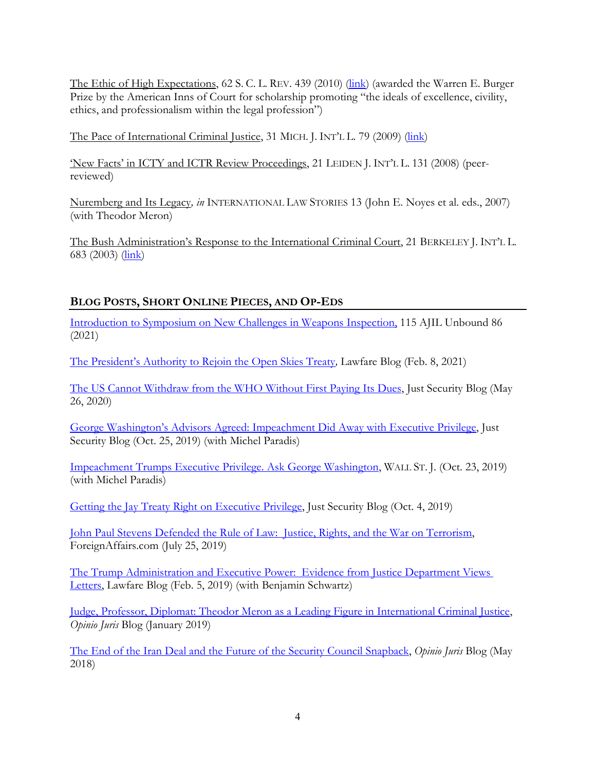The Ethic of High Expectations, 62 S. C. L. REV. 439 (2010) [\(link\)](https://scholarship.law.upenn.edu/faculty_scholarship/1454/) (awarded the Warren E. Burger Prize by the American Inns of Court for scholarship promoting "the ideals of excellence, civility, ethics, and professionalism within the legal profession")

The Pace of International Criminal Justice, 31 MICH. J. INT'L L. 79 (2009) [\(link\)](https://papers.ssrn.com/sol3/papers.cfm?abstract_id=2159282)

'New Facts' in ICTY and ICTR Review Proceedings, 21 LEIDEN J. INT'L L. 131 (2008) (peerreviewed)

Nuremberg and Its Legacy*, in* INTERNATIONAL LAW STORIES 13 (John E. Noyes et al. eds., 2007) (with Theodor Meron)

The Bush Administration's Response to the International Criminal Court, 21 BERKELEY J. INT'L L. 683 (2003) [\(link\)](https://scholarship.law.upenn.edu/cgi/viewcontent.cgi?article=2450&context=faculty_scholarship)

## **BLOG POSTS, SHORT ONLINE PIECES, AND OP-EDS**

Introduction to Symposium on [New Challenges in Weapons Inspection,](https://www.cambridge.org/core/journals/american-journal-of-international-law/article/introduction-to-the-symposium-on-new-challenges-in-weapons-inspection/979DEF6CC5B09BCE11B75BD7F4F083EE) 115 AJIL Unbound 86 (2021)

[The President's Authority to Rejoin the Open Skies Treaty](https://www.lawfareblog.com/presidents-authority-rejoin-open-skies-treaty)*,* Lawfare Blog (Feb. 8, 2021)

[The US Cannot Withdraw from the WHO Without First Paying Its Dues,](https://www.justsecurity.org/70384/the-us-cannot-withdraw-from-the-who-without-first-paying-its-dues/) Just Security Blog (May 26, 2020)

George Washington's Advisors Agreed: [Impeachment Did Away with Executive Privilege,](https://www.justsecurity.org/66713/george-washingtons-advisors-agreed-impeachment-did-away-with-executive-privilege/) Just Security Blog (Oct. 25, 2019) (with Michel Paradis)

Impeachment Trumps Executive [Privilege. Ask George Washington,](https://www.wsj.com/articles/impeachment-trumps-executive-privilege-ask-george-washington-11571784069) WALL ST. J. (Oct. 23, 2019) (with Michel Paradis)

[Getting the Jay Treaty Right on Executive](https://www.justsecurity.org/66434/getting-the-jay-treaty-right-on-executive-privilege/) Privilege, Just Security Blog (Oct. 4, 2019)

John Paul Stevens Defended the Rule [of Law: Justice, Rights, and the](https://www.foreignaffairs.com/articles/united-states/2019-07-25/john-paul-stevens-defended-rule-law) War on Terrorism, ForeignAffairs.com (July 25, 2019)

The Trump Administration and Executive [Power: Evidence from Justice Department Views](https://www.lawfareblog.com/trump-administration-and-executive-power-evidence-justice-department-views-letters)  [Letters,](https://www.lawfareblog.com/trump-administration-and-executive-power-evidence-justice-department-views-letters) Lawfare Blog (Feb. 5, 2019) (with Benjamin Schwartz)

Judge, Professor, Diplomat: Theodor Meron as a Leading [Figure in International Criminal Justice,](http://opiniojuris.org/2019/01/18/judge-professor-diplomat-theodor-meron-as-a-leading-figure-in-international-criminal-justice/) *Opinio Juris* Blog (January 2019)

The End of the Iran Deal and the [Future of the Security Council Snapback,](http://opiniojuris.org/2018/05/09/the-end-of-the-iran-deal-and-the-future-of-the-security-council-snapback/) *Opinio Juris* Blog (May 2018)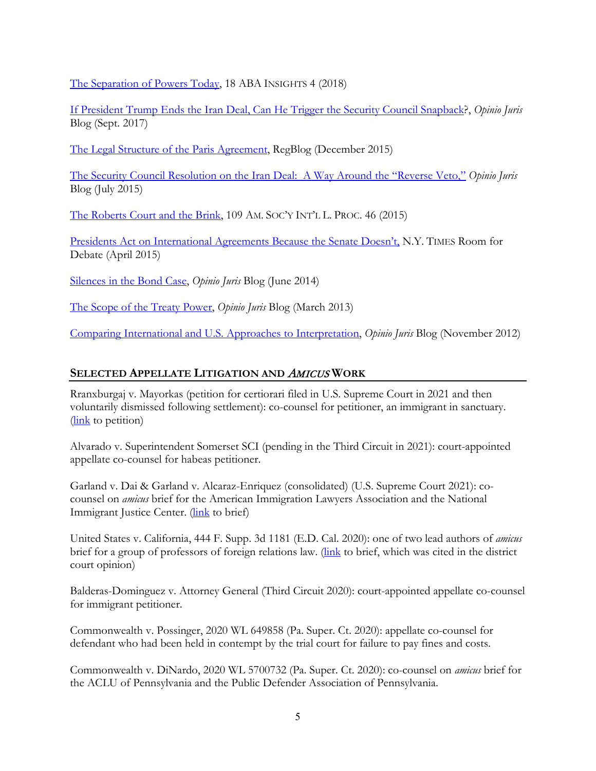[The Separation of Powers Today,](https://www.americanbar.org/content/dam/aba/publications/insights_law_society/issue-1-2018/Insights-Vol18-1(pgs)12518.authcheckdam.pdf) 18 ABA INSIGHTS 4 (2018)

If President Trump Ends the [Iran Deal, Can He Trigger the Security](http://opiniojuris.org/2017/09/20/if-president-trump-ends-the-iran-deal-can-he-trigger-the-security-council-snapback/) Council Snapback?, *Opinio Juris* Blog (Sept. 2017)

The Legal [Structure of the Paris Agreement,](http://www.regblog.org/2015/12/21/galbraith-legal-structure-paris-agreement/) RegBlog (December 2015)

[The Security Council Resolution on the Iran Deal: A Way Around the "Reverse](http://opiniojuris.org/2015/07/23/guest-post-the-security-council-resolution-on-the-iran-deal-a-way-around-the-reverse-veto/) Veto," *Opinio Juris* Blog (July 2015)

[The Roberts Court and the Brink,](http://www.jstor.org/stable/pdf/10.5305/procannmeetasil.109.2015.0046.pdf) 109 AM. SOC'Y INT'L L. PROC. 46 (2015)

[Presidents Act on International Agreements Because the Senate Doesn't,](http://www.nytimes.com/roomfordebate/2015/04/20/more-treaties-and-fewer-agreements-like-the-iran-nuclear-deal/presidents-act-on-international-agreements-because-the-senate-doesnt) N.Y. TIMES Room for Debate (April 2015)

[Silences in the Bond](http://opiniojuris.org/2014/06/02/guest-post-silences-bond-case/) Case, *Opinio Juris* Blog (June 2014)

[The Scope of the Treaty Power,](http://opiniojuris.org/2013/03/11/bradley-book-symposium-the-scope-of-the-treaty-power/) *Opinio Juris* Blog (March 2013)

[Comparing International and U.S.](http://opiniojuris.org/2012/11/09/the-oxford-guide-to-treaties-symposium-comparing-international-and-us-approaches-to-interpretation/) Approaches to Interpretation, *Opinio Juris* Blog (November 2012)

## **SELECTED APPELLATE LITIGATION AND** AMICUS **WORK**

Rranxburgaj v. Mayorkas (petition for certiorari filed in U.S. Supreme Court in 2021 and then voluntarily dismissed following settlement): co-counsel for petitioner, an immigrant in sanctuary. [\(link](https://www.supremecourt.gov/DocketPDF/20/20-1010/167011/20210122151057853_No.%2020-__%20PetitionOnly.pdf) to petition)

Alvarado v. Superintendent Somerset SCI (pending in the Third Circuit in 2021): court-appointed appellate co-counsel for habeas petitioner.

Garland v. Dai & Garland v. Alcaraz-Enriquez (consolidated) (U.S. Supreme Court 2021): cocounsel on *amicus* brief for the American Immigration Lawyers Association and the National Immigrant Justice Center. [\(link](https://www.supremecourt.gov/DocketPDF/19/19-1155/165838/20210111124942249_Dai%20Amicus%20Brief%20FINAL%2001-11-2021.pdf) to brief)

United States v. California, 444 F. Supp. 3d 1181 (E.D. Cal. 2020): one of two lead authors of *amicus* brief for a group of professors of foreign relations law. [\(link](https://papers.ssrn.com/sol3/papers.cfm?abstract_id=3561983) to brief, which was cited in the district court opinion)

Balderas-Dominguez v. Attorney General (Third Circuit 2020): court-appointed appellate co-counsel for immigrant petitioner.

Commonwealth v. Possinger, 2020 WL 649858 (Pa. Super. Ct. 2020): appellate co-counsel for defendant who had been held in contempt by the trial court for failure to pay fines and costs.

Commonwealth v. DiNardo, 2020 WL 5700732 (Pa. Super. Ct. 2020): co-counsel on *amicus* brief for the ACLU of Pennsylvania and the Public Defender Association of Pennsylvania.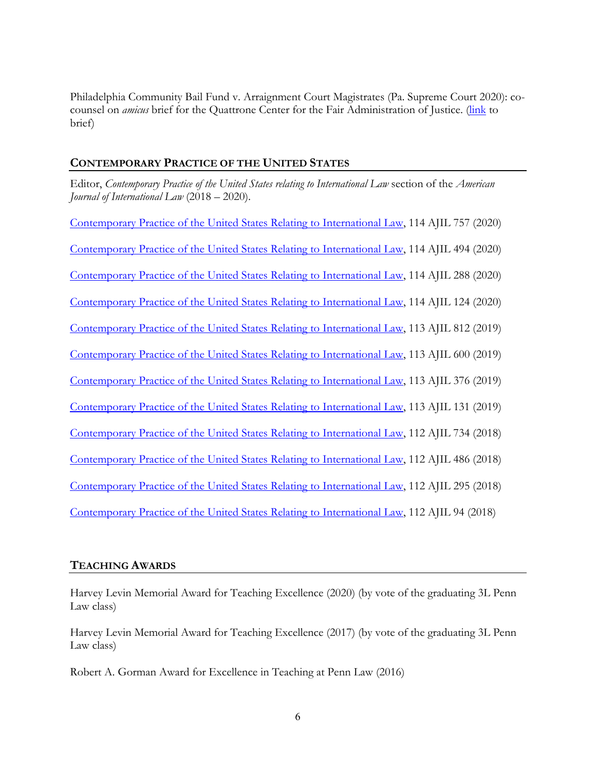Philadelphia Community Bail Fund v. Arraignment Court Magistrates (Pa. Supreme Court 2020): cocounsel on *amicus* brief for the Quattrone Center for the Fair Administration of Justice. [\(link](https://www.aclupa.org/sites/default/files/field_documents/amicus_curiae_brief_-_quattrone_-_1-30-20.pdf) to brief)

## **CONTEMPORARY PRACTICE OF THE UNITED STATES**

Editor, *Contemporary Practice of the United States relating to International Law* section of the *American Journal of International Law* (2018 – 2020).

[Contemporary Practice of the United States Relating to International Law,](https://scholarship.law.upenn.edu/cgi/viewcontent.cgi?article=3229&context=faculty_scholarship) 114 AJIL 757 (2020) Contemporary Practice [of the United States Relating to International Law,](https://scholarship.law.upenn.edu/cgi/viewcontent.cgi?article=3192&context=faculty_scholarship) 114 AJIL 494 (2020) Contemporary [Practice of the United States Relating to International Law,](https://scholarship.law.upenn.edu/faculty_scholarship/2176/) 114 AJIL 288 (2020) [Contemporary Practice of the United States Relating to International Law,](https://scholarship.law.upenn.edu/faculty_scholarship/2136/) 114 AJIL 124 (2020) [Contemporary Practice of the United States Relating to International Law,](https://scholarship.law.upenn.edu/faculty_scholarship/2106/) 113 AJIL 812 (2019) [Contemporary Practice of the United States](https://scholarship.law.upenn.edu/faculty_scholarship/2088/) Relating to International Law, 113 AJIL 600 (2019) Contemporary Practice of [the United States Relating to International Law,](https://scholarship.law.upenn.edu/faculty_scholarship/2066/) 113 AJIL 376 (2019) [Contemporary Practice of the United States Relating to International Law,](https://scholarship.law.upenn.edu/cgi/viewcontent.cgi?article=3039&context=faculty_scholarship) 113 AJIL 131 (2019) [Contemporary Practice of the United States Relating to International Law,](https://scholarship.law.upenn.edu/cgi/viewcontent.cgi?article=3021&context=faculty_scholarship) 112 AJIL 734 (2018) [Contemporary Practice of the United States Relating to International Law,](https://scholarship.law.upenn.edu/cgi/viewcontent.cgi?article=3005&context=faculty_scholarship) 112 AJIL 486 (2018) [Contemporary Practice of the United States Relating to International Law,](https://scholarship.law.upenn.edu/cgi/viewcontent.cgi?article=2984&context=faculty_scholarship) 112 AJIL 295 (2018) [Contemporary Practice of the United States Relating to International Law,](https://scholarship.law.upenn.edu/faculty_scholarship/1974/) 112 AJIL 94 (2018)

## **TEACHING AWARDS**

Harvey Levin Memorial Award for Teaching Excellence (2020) (by vote of the graduating 3L Penn Law class)

Harvey Levin Memorial Award for Teaching Excellence (2017) (by vote of the graduating 3L Penn Law class)

Robert A. Gorman Award for Excellence in Teaching at Penn Law (2016)